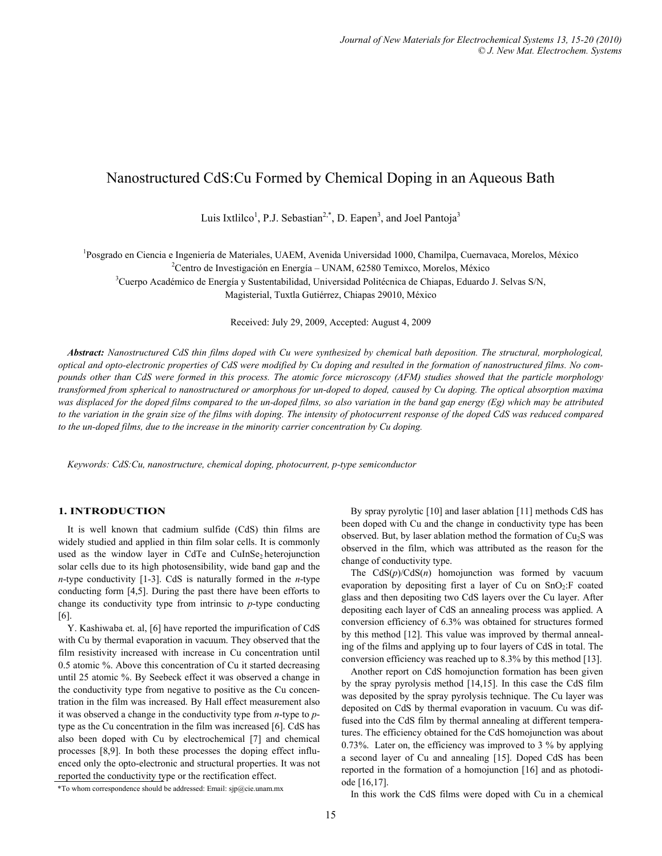# Nanostructured CdS:Cu Formed by Chemical Doping in an Aqueous Bath

Luis Ixtlilco<sup>1</sup>, P.J. Sebastian<sup>2,\*</sup>, D. Eapen<sup>3</sup>, and Joel Pantoja<sup>3</sup>

<sup>1</sup>Posgrado en Ciencia e Ingeniería de Materiales, UAEM, Avenida Universidad 1000, Chamilpa, Cuernavaca, Morelos, México <sup>2</sup>Contro de Investigación en Energía, JINAM 62580 Temiyes, Mexico México <sup>2</sup> Centro de Investigación en Energía – UNAM, 62580 Temixco, Morelos, México <sup>3</sup>Cuerpo Académico de Energía y Sustentabilidad, Universidad Politécnica de Chiapas, Eduardo J. Selvas S/N, Magisterial, Tuxtla Gutiérrez, Chiapas 29010, México

Received: July 29, 2009, Accepted: August 4, 2009

*Abstract: Nanostructured CdS thin films doped with Cu were synthesized by chemical bath deposition. The structural, morphological, optical and opto-electronic properties of CdS were modified by Cu doping and resulted in the formation of nanostructured films. No compounds other than CdS were formed in this process. The atomic force microscopy (AFM) studies showed that the particle morphology transformed from spherical to nanostructured or amorphous for un-doped to doped, caused by Cu doping. The optical absorption maxima was displaced for the doped films compared to the un-doped films, so also variation in the band gap energy (Eg) which may be attributed to the variation in the grain size of the films with doping. The intensity of photocurrent response of the doped CdS was reduced compared to the un-doped films, due to the increase in the minority carrier concentration by Cu doping.* 

*Keywords: CdS:Cu, nanostructure, chemical doping, photocurrent, p-type semiconductor* 

#### **1. INTRODUCTION**

It is well known that cadmium sulfide (CdS) thin films are widely studied and applied in thin film solar cells. It is commonly used as the window layer in CdTe and CuInSe<sub>2</sub> heterojunction solar cells due to its high photosensibility, wide band gap and the *n*-type conductivity [1-3]. CdS is naturally formed in the *n*-type conducting form [4,5]. During the past there have been efforts to change its conductivity type from intrinsic to *p*-type conducting [6].

Y. Kashiwaba et. al, [6] have reported the impurification of CdS with Cu by thermal evaporation in vacuum. They observed that the film resistivity increased with increase in Cu concentration until 0.5 atomic %. Above this concentration of Cu it started decreasing until 25 atomic %. By Seebeck effect it was observed a change in the conductivity type from negative to positive as the Cu concentration in the film was increased. By Hall effect measurement also it was observed a change in the conductivity type from *n*-type to *p*type as the Cu concentration in the film was increased [6]. CdS has also been doped with Cu by electrochemical [7] and chemical processes [8,9]. In both these processes the doping effect influenced only the opto-electronic and structural properties. It was not reported the conductivity type or the rectification effect.

By spray pyrolytic [10] and laser ablation [11] methods CdS has been doped with Cu and the change in conductivity type has been observed. But, by laser ablation method the formation of  $Cu<sub>2</sub>S$  was observed in the film, which was attributed as the reason for the change of conductivity type.

The CdS(*p*)/CdS(*n*) homojunction was formed by vacuum evaporation by depositing first a layer of Cu on  $SnO<sub>2</sub>:F$  coated glass and then depositing two CdS layers over the Cu layer. After depositing each layer of CdS an annealing process was applied. A conversion efficiency of 6.3% was obtained for structures formed by this method [12]. This value was improved by thermal annealing of the films and applying up to four layers of CdS in total. The conversion efficiency was reached up to 8.3% by this method [13].

Another report on CdS homojunction formation has been given by the spray pyrolysis method [14,15]. In this case the CdS film was deposited by the spray pyrolysis technique. The Cu layer was deposited on CdS by thermal evaporation in vacuum. Cu was diffused into the CdS film by thermal annealing at different temperatures. The efficiency obtained for the CdS homojunction was about 0.73%. Later on, the efficiency was improved to 3 % by applying a second layer of Cu and annealing [15]. Doped CdS has been reported in the formation of a homojunction [16] and as photodiode [16,17].

In this work the CdS films were doped with Cu in a chemical \*To whom correspondence should be addressed: Email: sjp@cie.unam.mx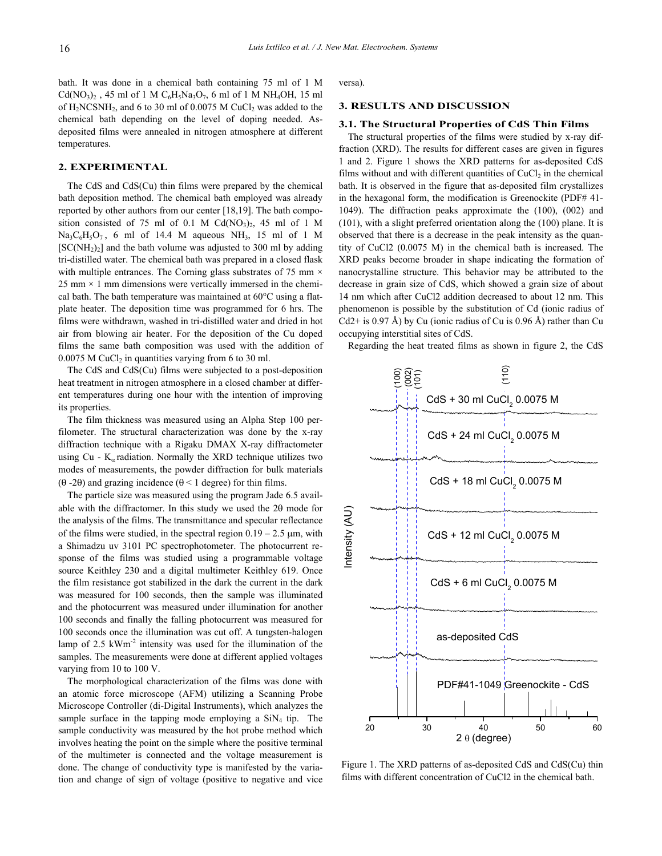bath. It was done in a chemical bath containing 75 ml of 1 M  $Cd(NO<sub>3</sub>)<sub>2</sub>$ , 45 ml of 1 M  $C<sub>6</sub>H<sub>5</sub>Na<sub>3</sub>O<sub>7</sub>$ , 6 ml of 1 M NH<sub>4</sub>OH, 15 ml of  $H_2NCSNH_2$ , and 6 to 30 ml of 0.0075 M CuCl<sub>2</sub> was added to the chemical bath depending on the level of doping needed. Asdeposited films were annealed in nitrogen atmosphere at different temperatures.

## **2. EXPERIMENTAL**

The CdS and CdS(Cu) thin films were prepared by the chemical bath deposition method. The chemical bath employed was already reported by other authors from our center [18,19]. The bath composition consisted of 75 ml of 0.1 M Cd(NO<sub>3</sub>)<sub>2</sub>, 45 ml of 1 M  $Na<sub>3</sub>C<sub>6</sub>H<sub>5</sub>O<sub>7</sub>$ , 6 ml of 14.4 M aqueous NH<sub>3</sub>, 15 ml of 1 M  $[SC(NH<sub>2</sub>)<sub>2</sub>]$  and the bath volume was adjusted to 300 ml by adding tri-distilled water. The chemical bath was prepared in a closed flask with multiple entrances. The Corning glass substrates of 75 mm  $\times$ 25 mm  $\times$  1 mm dimensions were vertically immersed in the chemical bath. The bath temperature was maintained at 60°C using a flatplate heater. The deposition time was programmed for 6 hrs. The films were withdrawn, washed in tri-distilled water and dried in hot air from blowing air heater. For the deposition of the Cu doped films the same bath composition was used with the addition of  $0.0075$  M CuCl<sub>2</sub> in quantities varying from 6 to 30 ml.

The CdS and CdS(Cu) films were subjected to a post-deposition heat treatment in nitrogen atmosphere in a closed chamber at different temperatures during one hour with the intention of improving its properties.

The film thickness was measured using an Alpha Step 100 perfilometer. The structural characterization was done by the x-ray diffraction technique with a Rigaku DMAX X-ray diffractometer using Cu -  $K_{\alpha}$  radiation. Normally the XRD technique utilizes two modes of measurements, the powder diffraction for bulk materials (θ -2θ) and grazing incidence (θ < 1 degree) for thin films.

The particle size was measured using the program Jade 6.5 available with the diffractomer. In this study we used the 2θ mode for the analysis of the films. The transmittance and specular reflectance of the films were studied, in the spectral region  $0.19 - 2.5$   $\mu$ m, with a Shimadzu uv 3101 PC spectrophotometer. The photocurrent response of the films was studied using a programmable voltage source Keithley 230 and a digital multimeter Keithley 619. Once the film resistance got stabilized in the dark the current in the dark was measured for 100 seconds, then the sample was illuminated and the photocurrent was measured under illumination for another 100 seconds and finally the falling photocurrent was measured for 100 seconds once the illumination was cut off. A tungsten-halogen lamp of 2.5  $kWm<sup>2</sup>$  intensity was used for the illumination of the samples. The measurements were done at different applied voltages varying from 10 to 100 V.

The morphological characterization of the films was done with an atomic force microscope (AFM) utilizing a Scanning Probe Microscope Controller (di-Digital Instruments), which analyzes the sample surface in the tapping mode employing a  $SiN<sub>4</sub>$  tip. The sample conductivity was measured by the hot probe method which involves heating the point on the simple where the positive terminal of the multimeter is connected and the voltage measurement is done. The change of conductivity type is manifested by the variation and change of sign of voltage (positive to negative and vice versa).

# **3. RESULTS AND DISCUSSION**

#### **3.1. The Structural Properties of CdS Thin Films**

The structural properties of the films were studied by x-ray diffraction (XRD). The results for different cases are given in figures 1 and 2. Figure 1 shows the XRD patterns for as-deposited CdS films without and with different quantities of  $CuCl<sub>2</sub>$  in the chemical bath. It is observed in the figure that as-deposited film crystallizes in the hexagonal form, the modification is Greenockite (PDF# 41- 1049). The diffraction peaks approximate the (100), (002) and (101), with a slight preferred orientation along the (100) plane. It is observed that there is a decrease in the peak intensity as the quantity of CuCl2 (0.0075 M) in the chemical bath is increased. The XRD peaks become broader in shape indicating the formation of nanocrystalline structure. This behavior may be attributed to the decrease in grain size of CdS, which showed a grain size of about 14 nm which after CuCl2 addition decreased to about 12 nm. This phenomenon is possible by the substitution of Cd (ionic radius of Cd2+ is 0.97 Å) by Cu (ionic radius of Cu is 0.96 Å) rather than Cu occupying interstitial sites of CdS.

Regarding the heat treated films as shown in figure 2, the CdS



Figure 1. The XRD patterns of as-deposited CdS and CdS(Cu) thin films with different concentration of CuCl2 in the chemical bath.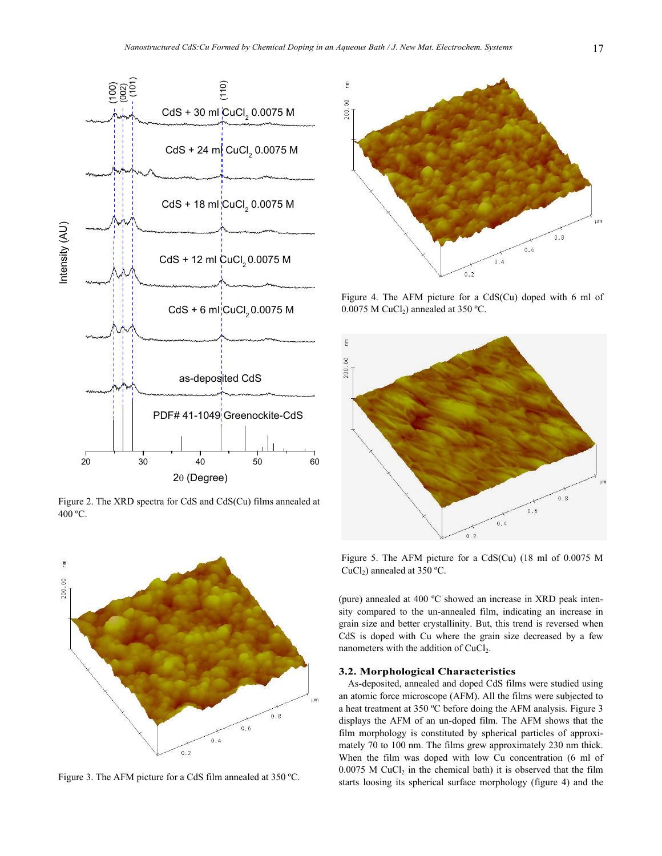

Figure 2. The XRD spectra for CdS and CdS(Cu) films annealed at 400 ºC.



Figure 3. The AFM picture for a CdS film annealed at 350 ºC.



Figure 4. The AFM picture for a CdS(Cu) doped with 6 ml of  $0.0075$  M CuCl<sub>2</sub>) annealed at 350 °C.



Figure 5. The AFM picture for a CdS(Cu) (18 ml of 0.0075 M CuCl<sub>2</sub>) annealed at 350 °C.

(pure) annealed at 400 ºC showed an increase in XRD peak intensity compared to the un-annealed film, indicating an increase in grain size and better crystallinity. But, this trend is reversed when CdS is doped with Cu where the grain size decreased by a few nanometers with the addition of CuCl<sub>2</sub>.

### **3.2. Morphological Characteristics**

As-deposited, annealed and doped CdS films were studied using an atomic force microscope (AFM). All the films were subjected to a heat treatment at 350 ºC before doing the AFM analysis. Figure 3 displays the AFM of an un-doped film. The AFM shows that the film morphology is constituted by spherical particles of approximately 70 to 100 nm. The films grew approximately 230 nm thick. When the film was doped with low Cu concentration (6 ml of  $0.0075$  M CuCl<sub>2</sub> in the chemical bath) it is observed that the film starts loosing its spherical surface morphology (figure 4) and the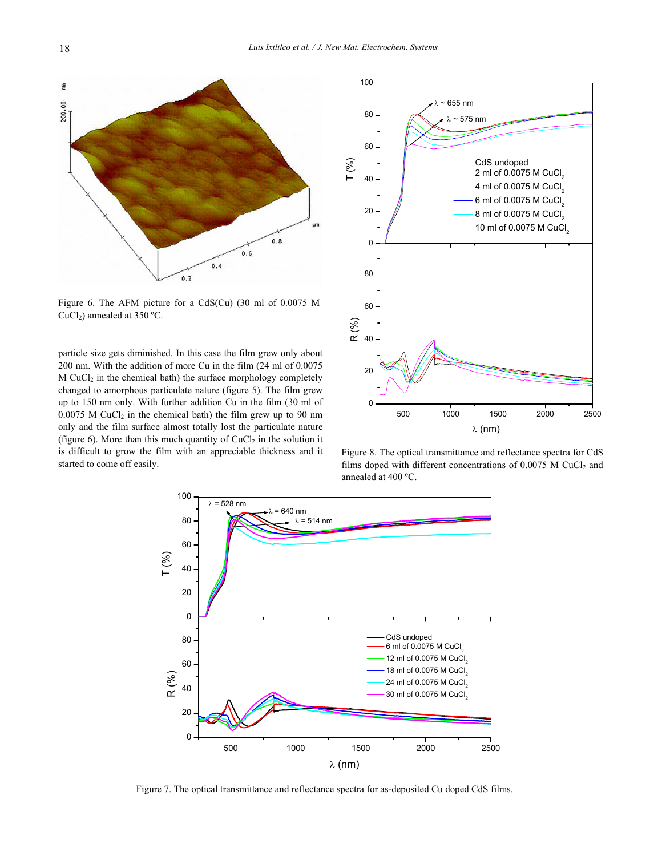

Figure 6. The AFM picture for a CdS(Cu) (30 ml of 0.0075 M CuCl<sub>2</sub>) annealed at 350 °C.

particle size gets diminished. In this case the film grew only about 200 nm. With the addition of more Cu in the film (24 ml of 0.0075 M CuCl2 in the chemical bath) the surface morphology completely changed to amorphous particulate nature (figure 5). The film grew up to 150 nm only. With further addition Cu in the film (30 ml of  $0.0075$  M CuCl<sub>2</sub> in the chemical bath) the film grew up to 90 nm only and the film surface almost totally lost the particulate nature (figure 6). More than this much quantity of  $CuCl<sub>2</sub>$  in the solution it is difficult to grow the film with an appreciable thickness and it started to come off easily.



Figure 8. The optical transmittance and reflectance spectra for CdS films doped with different concentrations of  $0.0075$  M CuCl<sub>2</sub> and annealed at 400 ºC.



Figure 7. The optical transmittance and reflectance spectra for as-deposited Cu doped CdS films.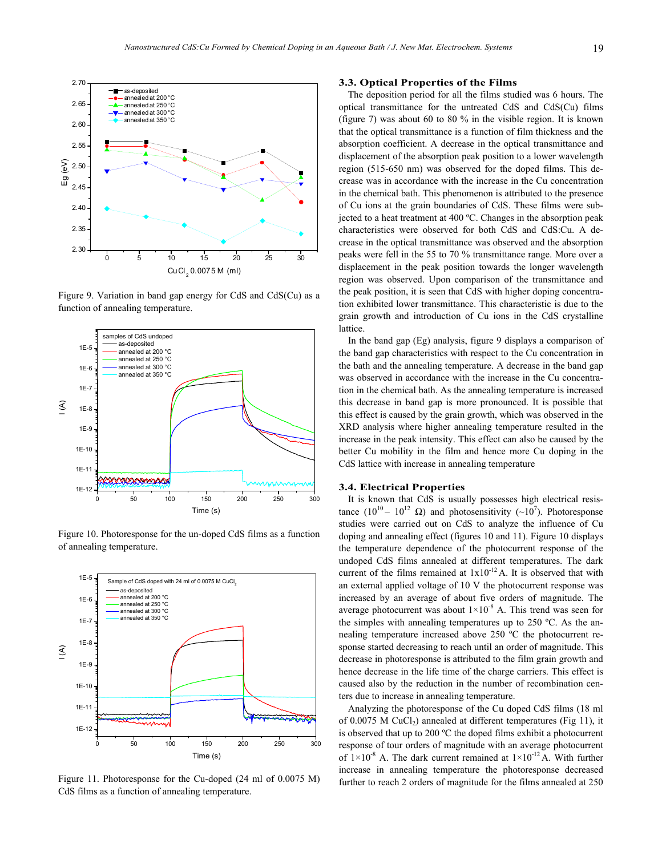

Figure 9. Variation in band gap energy for CdS and CdS(Cu) as a function of annealing temperature.



Figure 10. Photoresponse for the un-doped CdS films as a function of annealing temperature.



Figure 11. Photoresponse for the Cu-doped (24 ml of 0.0075 M) CdS films as a function of annealing temperature.

#### **3.3. Optical Properties of the Films**

The deposition period for all the films studied was 6 hours. The optical transmittance for the untreated CdS and CdS(Cu) films (figure 7) was about 60 to 80 % in the visible region. It is known that the optical transmittance is a function of film thickness and the absorption coefficient. A decrease in the optical transmittance and displacement of the absorption peak position to a lower wavelength region (515-650 nm) was observed for the doped films. This decrease was in accordance with the increase in the Cu concentration in the chemical bath. This phenomenon is attributed to the presence of Cu ions at the grain boundaries of CdS. These films were subjected to a heat treatment at 400 ºC. Changes in the absorption peak characteristics were observed for both CdS and CdS:Cu. A decrease in the optical transmittance was observed and the absorption peaks were fell in the 55 to 70 % transmittance range. More over a displacement in the peak position towards the longer wavelength region was observed. Upon comparison of the transmittance and the peak position, it is seen that CdS with higher doping concentration exhibited lower transmittance. This characteristic is due to the grain growth and introduction of Cu ions in the CdS crystalline lattice.

In the band gap (Eg) analysis, figure 9 displays a comparison of the band gap characteristics with respect to the Cu concentration in the bath and the annealing temperature. A decrease in the band gap was observed in accordance with the increase in the Cu concentration in the chemical bath. As the annealing temperature is increased this decrease in band gap is more pronounced. It is possible that this effect is caused by the grain growth, which was observed in the XRD analysis where higher annealing temperature resulted in the increase in the peak intensity. This effect can also be caused by the better Cu mobility in the film and hence more Cu doping in the CdS lattice with increase in annealing temperature

#### **3.4. Electrical Properties**

It is known that CdS is usually possesses high electrical resistance (10<sup>10</sup> – 10<sup>12</sup> Ω) and photosensitivity (~10<sup>7</sup>). Photoresponse studies were carried out on CdS to analyze the influence of Cu doping and annealing effect (figures 10 and 11). Figure 10 displays the temperature dependence of the photocurrent response of the undoped CdS films annealed at different temperatures. The dark current of the films remained at  $1x10^{-12}$  A. It is observed that with an external applied voltage of 10 V the photocurrent response was increased by an average of about five orders of magnitude. The average photocurrent was about  $1\times10^{-8}$  A. This trend was seen for the simples with annealing temperatures up to 250 ºC. As the annealing temperature increased above 250 ºC the photocurrent response started decreasing to reach until an order of magnitude. This decrease in photoresponse is attributed to the film grain growth and hence decrease in the life time of the charge carriers. This effect is caused also by the reduction in the number of recombination centers due to increase in annealing temperature.

Analyzing the photoresponse of the Cu doped CdS films (18 ml of 0.0075 M CuCl<sub>2</sub>) annealed at different temperatures (Fig 11), it is observed that up to 200 ºC the doped films exhibit a photocurrent response of tour orders of magnitude with an average photocurrent of  $1\times10^{-8}$  A. The dark current remained at  $1\times10^{-12}$  A. With further increase in annealing temperature the photoresponse decreased further to reach 2 orders of magnitude for the films annealed at 250